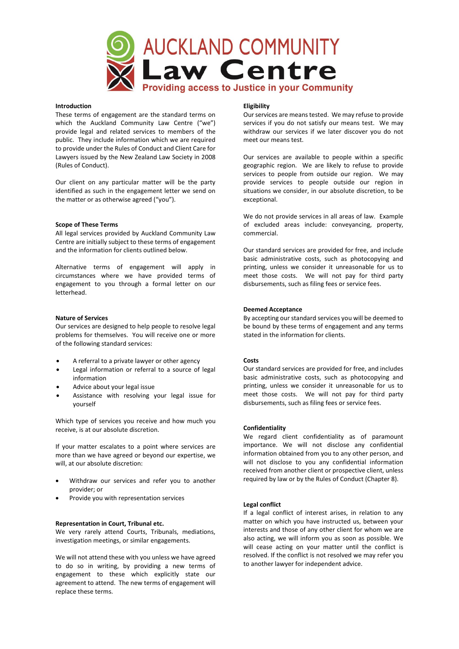

# **Introduction**

These terms of engagement are the standard terms on which the Auckland Community Law Centre ("we") provide legal and related services to members of the public. They include information which we are required to provide under the Rules of Conduct and Client Care for Lawyers issued by the New Zealand Law Society in 2008 (Rules of Conduct).

Our client on any particular matter will be the party identified as such in the engagement letter we send on the matter or as otherwise agreed ("you").

### **Scope of These Terms**

All legal services provided by Auckland Community Law Centre are initially subject to these terms of engagement and the information for clients outlined below.

Alternative terms of engagement will apply in circumstances where we have provided terms of engagement to you through a formal letter on our letterhead.

## **Nature of Services**

Our services are designed to help people to resolve legal problems for themselves. You will receive one or more of the following standard services:

- A referral to a private lawyer or other agency
- Legal information or referral to a source of legal information
- Advice about your legal issue
- Assistance with resolving your legal issue for yourself

Which type of services you receive and how much you receive, is at our absolute discretion.

If your matter escalates to a point where services are more than we have agreed or beyond our expertise, we will, at our absolute discretion:

- Withdraw our services and refer you to another provider; or
- Provide you with representation services

### **Representation in Court, Tribunal etc.**

We very rarely attend Courts, Tribunals, mediations, investigation meetings, or similar engagements.

We will not attend these with you unless we have agreed to do so in writing, by providing a new terms of engagement to these which explicitly state our agreement to attend. The new terms of engagement will replace these terms.

## **Eligibility**

Our services are means tested. We may refuse to provide services if you do not satisfy our means test. We may withdraw our services if we later discover you do not meet our means test.

Our services are available to people within a specific geographic region. We are likely to refuse to provide services to people from outside our region. We may provide services to people outside our region in situations we consider, in our absolute discretion, to be exceptional.

We do not provide services in all areas of law. Example of excluded areas include: conveyancing, property, commercial.

Our standard services are provided for free, and include basic administrative costs, such as photocopying and printing, unless we consider it unreasonable for us to meet those costs. We will not pay for third party disbursements, such as filing fees or service fees.

## **Deemed Acceptance**

By accepting our standard services you will be deemed to be bound by these terms of engagement and any terms stated in the information for clients.

### **Costs**

Our standard services are provided for free, and includes basic administrative costs, such as photocopying and printing, unless we consider it unreasonable for us to meet those costs. We will not pay for third party disbursements, such as filing fees or service fees.

### **Confidentiality**

We regard client confidentiality as of paramount importance. We will not disclose any confidential information obtained from you to any other person, and will not disclose to you any confidential information received from another client or prospective client, unless required by law or by the Rules of Conduct (Chapter 8).

# **Legal conflict**

If a legal conflict of interest arises, in relation to any matter on which you have instructed us, between your interests and those of any other client for whom we are also acting, we will inform you as soon as possible. We will cease acting on your matter until the conflict is resolved. If the conflict is not resolved we may refer you to another lawyer for independent advice.